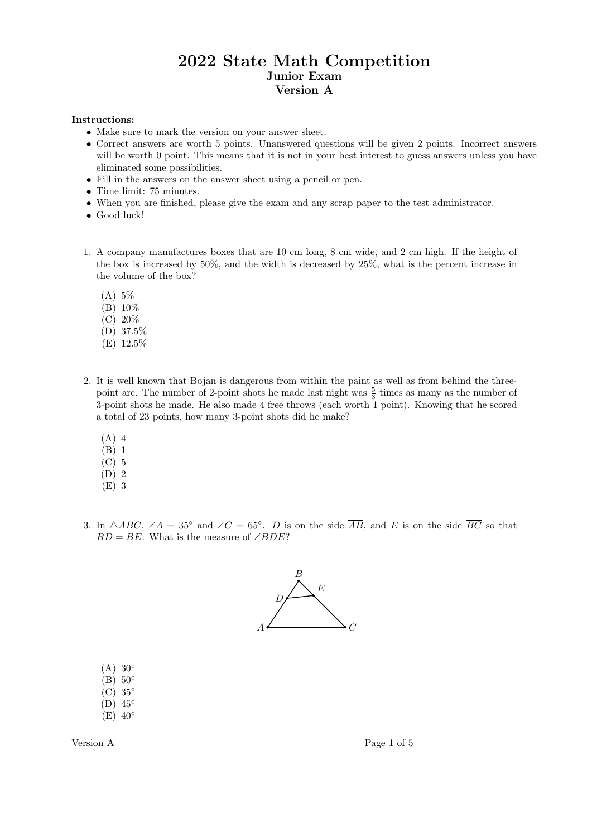## 2022 State Math Competition Junior Exam Version A

## Instructions:

- Make sure to mark the version on your answer sheet.
- Correct answers are worth 5 points. Unanswered questions will be given 2 points. Incorrect answers will be worth 0 point. This means that it is not in your best interest to guess answers unless you have eliminated some possibilities.
- Fill in the answers on the answer sheet using a pencil or pen.
- Time limit: 75 minutes.
- When you are finished, please give the exam and any scrap paper to the test administrator.
- Good luck!
- 1. A company manufactures boxes that are 10 cm long, 8 cm wide, and 2 cm high. If the height of the box is increased by 50%, and the width is decreased by 25%, what is the percent increase in the volume of the box?
	- (A) 5%
	- (B) 10%
	- (C) 20%
	- (D) 37.5%
	- (E) 12.5%
- 2. It is well known that Bojan is dangerous from within the paint as well as from behind the threepoint arc. The number of 2-point shots he made last night was  $\frac{5}{3}$  times as many as the number of 3-point shots he made. He also made 4 free throws (each worth 1 point). Knowing that he scored a total of 23 points, how many 3-point shots did he make?
	- (A) 4
	- $(B)$  1
	- $\overline{C}$  5
	- (D) 2
	- (E) 3
- 3. In  $\triangle ABC$ ,  $\angle A = 35^\circ$  and  $\angle C = 65^\circ$ . D is on the side  $\overline{AB}$ , and E is on the side  $\overline{BC}$  so that  $BD = BE$ . What is the measure of ∠BDE?



- $(A)$  30°  $(B)$  50 $\circ$
- $(C)$  35°
- (D) 45◦
- $(E)$  40°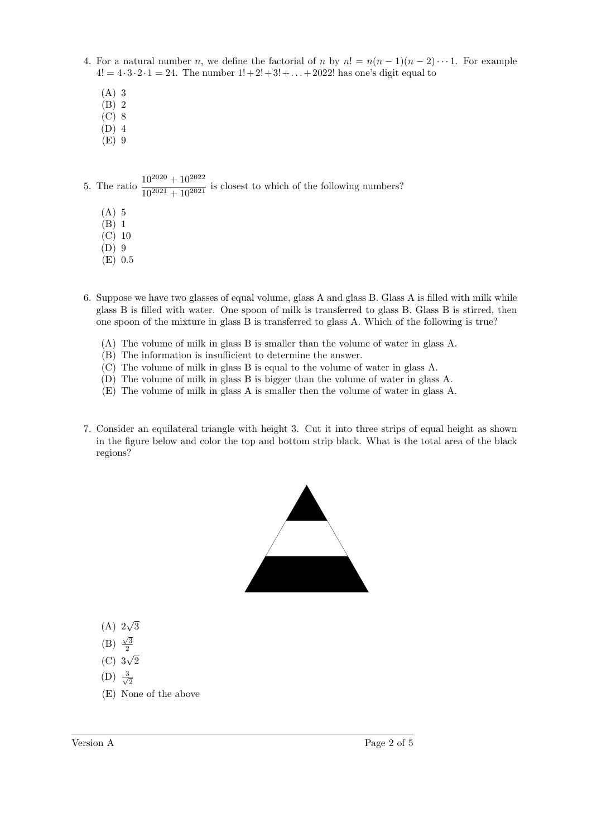- 4. For a natural number n, we define the factorial of n by  $n! = n(n-1)(n-2)\cdots 1$ . For example  $4! = 4 \cdot 3 \cdot 2 \cdot 1 = 24$ . The number  $1! + 2! + 3! + ... + 2022!$  has one's digit equal to
	- (A) 3
	- (B) 2
	- (C) 8
	- (D) 4 (E) 9
- 5. The ratio  $\frac{10^{2020} + 10^{2022}}{10^{2021} + 10^{2021}}$  is closest to which of the following numbers?
	- (A) 5
	- (B) 1
	- (C) 10
	- (D) 9
	- (E) 0.5
- 6. Suppose we have two glasses of equal volume, glass A and glass B. Glass A is filled with milk while glass B is filled with water. One spoon of milk is transferred to glass B. Glass B is stirred, then one spoon of the mixture in glass B is transferred to glass A. Which of the following is true?
	- (A) The volume of milk in glass B is smaller than the volume of water in glass A.
	- (B) The information is insufficient to determine the answer.
	- (C) The volume of milk in glass B is equal to the volume of water in glass A.
	- (D) The volume of milk in glass B is bigger than the volume of water in glass A.
	- (E) The volume of milk in glass A is smaller then the volume of water in glass A.
- 7. Consider an equilateral triangle with height 3. Cut it into three strips of equal height as shown in the figure below and color the top and bottom strip black. What is the total area of the black regions?



- (A) 2 √ 3
- (B)  $\frac{\sqrt{3}}{2}$
- (C) 3 √ 2
- $(D) \frac{3}{4}$ 2
- (E) None of the above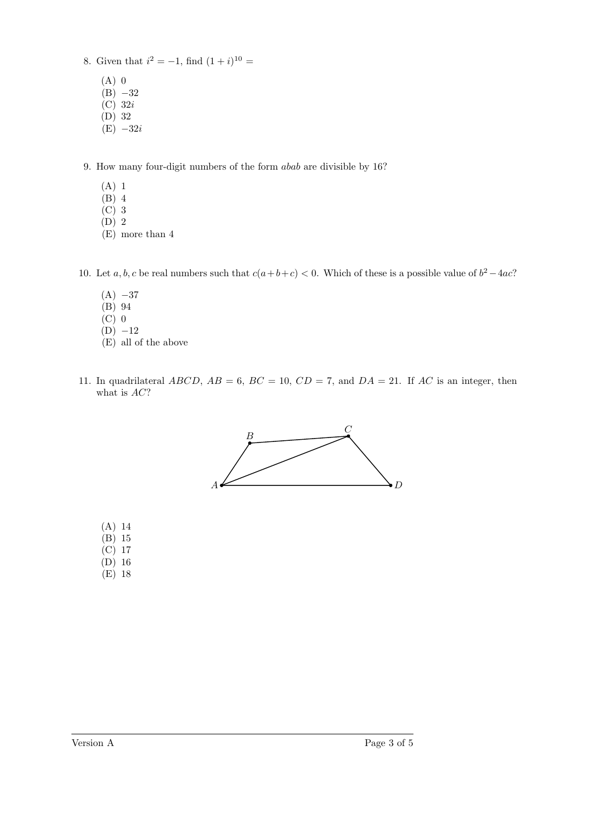- 8. Given that  $i^2 = -1$ , find  $(1+i)^{10} =$ 
	- (A) 0  $(B) -32$
	- $\overline{C}$  32*i*
	- (D) 32
	- $(E) -32i$
- 9. How many four-digit numbers of the form abab are divisible by 16?
	- (A) 1
	- (B) 4
	- (C) 3
	- (D) 2
	- (E) more than 4
- 10. Let  $a, b, c$  be real numbers such that  $c(a+b+c) < 0$ . Which of these is a possible value of  $b^2 4ac$ ?
	- $(A) -37$
	- (B) 94
	- (C) 0
	- $(D) -12$ (E) all of the above
- 11. In quadrilateral  $ABCD$ ,  $AB = 6$ ,  $BC = 10$ ,  $CD = 7$ , and  $DA = 21$ . If AC is an integer, then what is AC?



- (A) 14
- (B) 15
- (C) 17  $(D)$  16
- (E) 18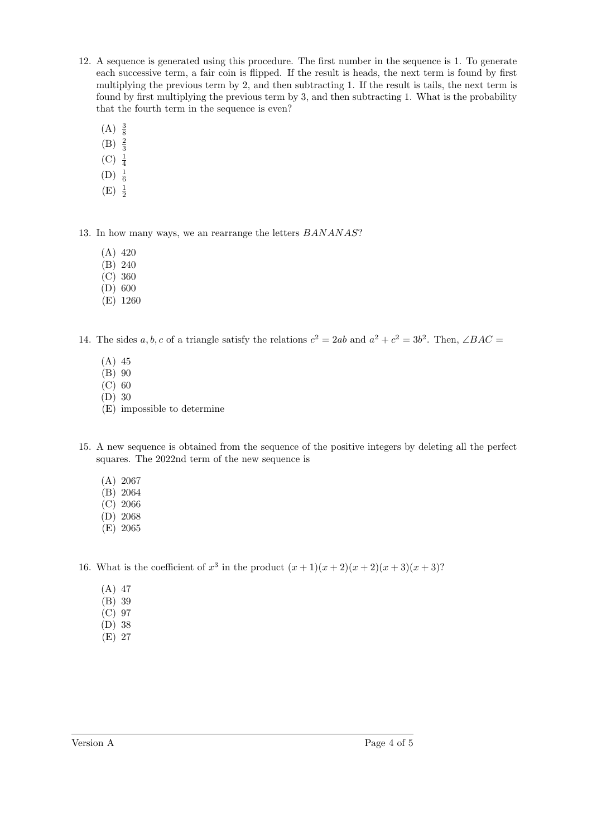- 12. A sequence is generated using this procedure. The first number in the sequence is 1. To generate each successive term, a fair coin is flipped. If the result is heads, the next term is found by first multiplying the previous term by 2, and then subtracting 1. If the result is tails, the next term is found by first multiplying the previous term by 3, and then subtracting 1. What is the probability that the fourth term in the sequence is even?
	- $(A) \frac{3}{8}$
	- $(B) \frac{2}{3}$
	- $(C) \frac{1}{4}$
	- $(D) \frac{1}{6}$
	- $(E) \frac{1}{2}$

13. In how many ways, we an rearrange the letters BANANAS?

- (A) 420
- (B) 240
- (C) 360
- (D) 600
- (E) 1260

14. The sides a, b, c of a triangle satisfy the relations  $c^2 = 2ab$  and  $a^2 + c^2 = 3b^2$ . Then,  $\angle BAC =$ 

- (A) 45
- (B) 90
- (C) 60
- (D) 30
- (E) impossible to determine
- 15. A new sequence is obtained from the sequence of the positive integers by deleting all the perfect squares. The 2022nd term of the new sequence is
	- (A) 2067
	- (B) 2064
	- (C) 2066
	- (D) 2068
	- (E) 2065

16. What is the coefficient of  $x^3$  in the product  $(x + 1)(x + 2)(x + 2)(x + 3)(x + 3)$ ?

- (A) 47
- (B) 39
- (C) 97
- (D) 38
- (E) 27